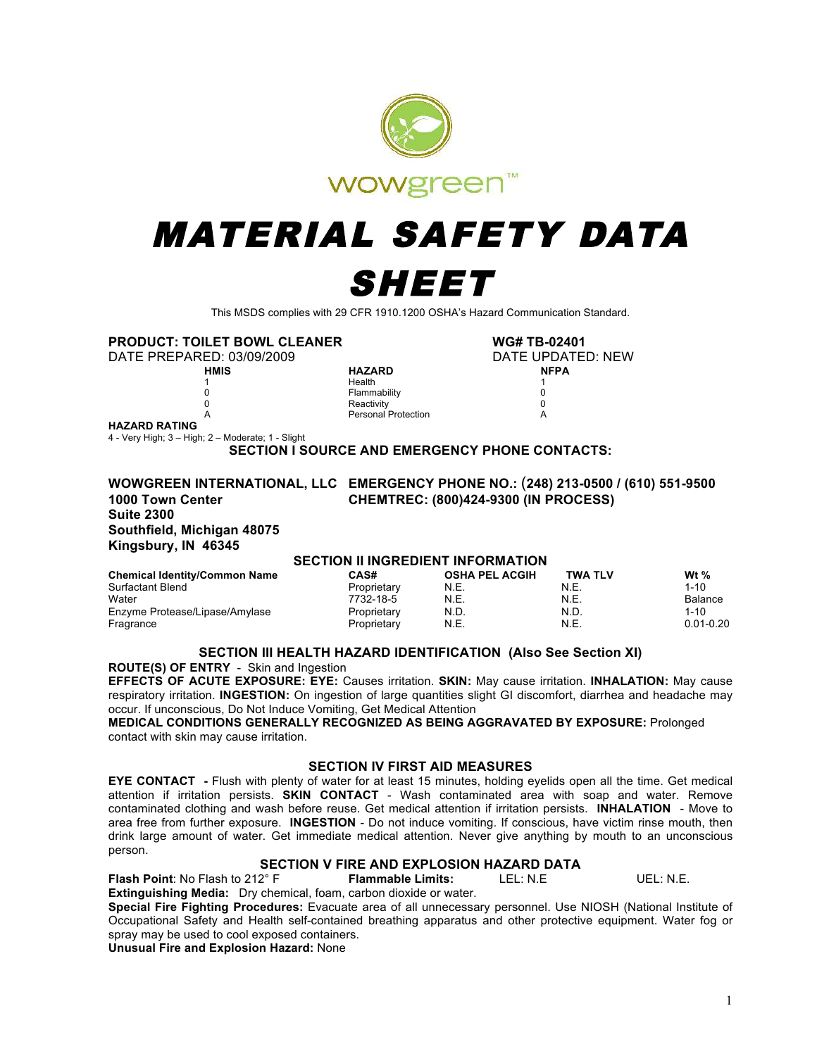

# MATERIAL SAFETY DATA SHEET

This MSDS complies with 29 CFR 1910.1200 OSHA's Hazard Communication Standard.

**PRODUCT: TOILET BOWL CLEANER WG# TB-02401**

DATE PREPARED: 03/09/2009 DATE UPDATED: NEW

**HMIS HAZARD NFPA 1 1 Health** 1 0 Flammability 0 **d** the contractivity of the contractivity of  $\alpha$  or  $\alpha$  or  $\alpha$  or  $\alpha$  or  $\alpha$  or  $\alpha$ A Personal Protection A

**HAZARD RATING**

4 - Very High; 3 – High; 2 – Moderate; 1 - Slight

**SECTION I SOURCE AND EMERGENCY PHONE CONTACTS:** 

### **WOWGREEN INTERNATIONAL, LLC EMERGENCY PHONE NO.:** (**248) 213-0500 / (610) 551-9500 Suite 2300 Southfield, Michigan 48075 Kingsbury, IN 46345**

**1000 Town Center CHEMTREC: (800)424-9300 (IN PROCESS)** 

#### **SECTION II INGREDIENT INFORMATION**

| <b>Chemical Identity/Common Name</b> | CAS#        | <b>OSHA PEL ACGIH</b> | <b>TWA TLV</b> | Wt $%$        |
|--------------------------------------|-------------|-----------------------|----------------|---------------|
| Surfactant Blend                     | Proprietary | N.E.                  | N.E.           | $1 - 10$      |
| Water                                | 7732-18-5   | N.E.                  | N.E.           | Balance       |
| Enzyme Protease/Lipase/Amylase       | Proprietary | N.D.                  | N.D.           | $1 - 10$      |
| Fragrance                            | Proprietary | N.E.                  | N.E.           | $0.01 - 0.20$ |

#### **SECTION III HEALTH HAZARD IDENTIFICATION (Also See Section XI)**

**ROUTE(S) OF ENTRY** - Skin and Ingestion

**EFFECTS OF ACUTE EXPOSURE: EYE:** Causes irritation. **SKIN:** May cause irritation. **INHALATION:** May cause respiratory irritation. **INGESTION:** On ingestion of large quantities slight GI discomfort, diarrhea and headache may occur. If unconscious, Do Not Induce Vomiting, Get Medical Attention

**MEDICAL CONDITIONS GENERALLY RECOGNIZED AS BEING AGGRAVATED BY EXPOSURE:** Prolonged contact with skin may cause irritation.

#### **SECTION IV FIRST AID MEASURES**

**EYE CONTACT -** Flush with plenty of water for at least 15 minutes, holding eyelids open all the time. Get medical attention if irritation persists. **SKIN CONTACT** - Wash contaminated area with soap and water. Remove contaminated clothing and wash before reuse. Get medical attention if irritation persists. **INHALATION** - Move to area free from further exposure. **INGESTION** - Do not induce vomiting. If conscious, have victim rinse mouth, then drink large amount of water. Get immediate medical attention. Never give anything by mouth to an unconscious person.

# **SECTION V FIRE AND EXPLOSION HAZARD DATA**

**Flash Point**: No Flash to 212° F **Flammable Limits:** LEL: N.E UEL: N.E. **Extinguishing Media:** Dry chemical, foam, carbon dioxide or water.

**Special Fire Fighting Procedures:** Evacuate area of all unnecessary personnel. Use NIOSH (National Institute of Occupational Safety and Health self-contained breathing apparatus and other protective equipment. Water fog or spray may be used to cool exposed containers.

**Unusual Fire and Explosion Hazard:** None